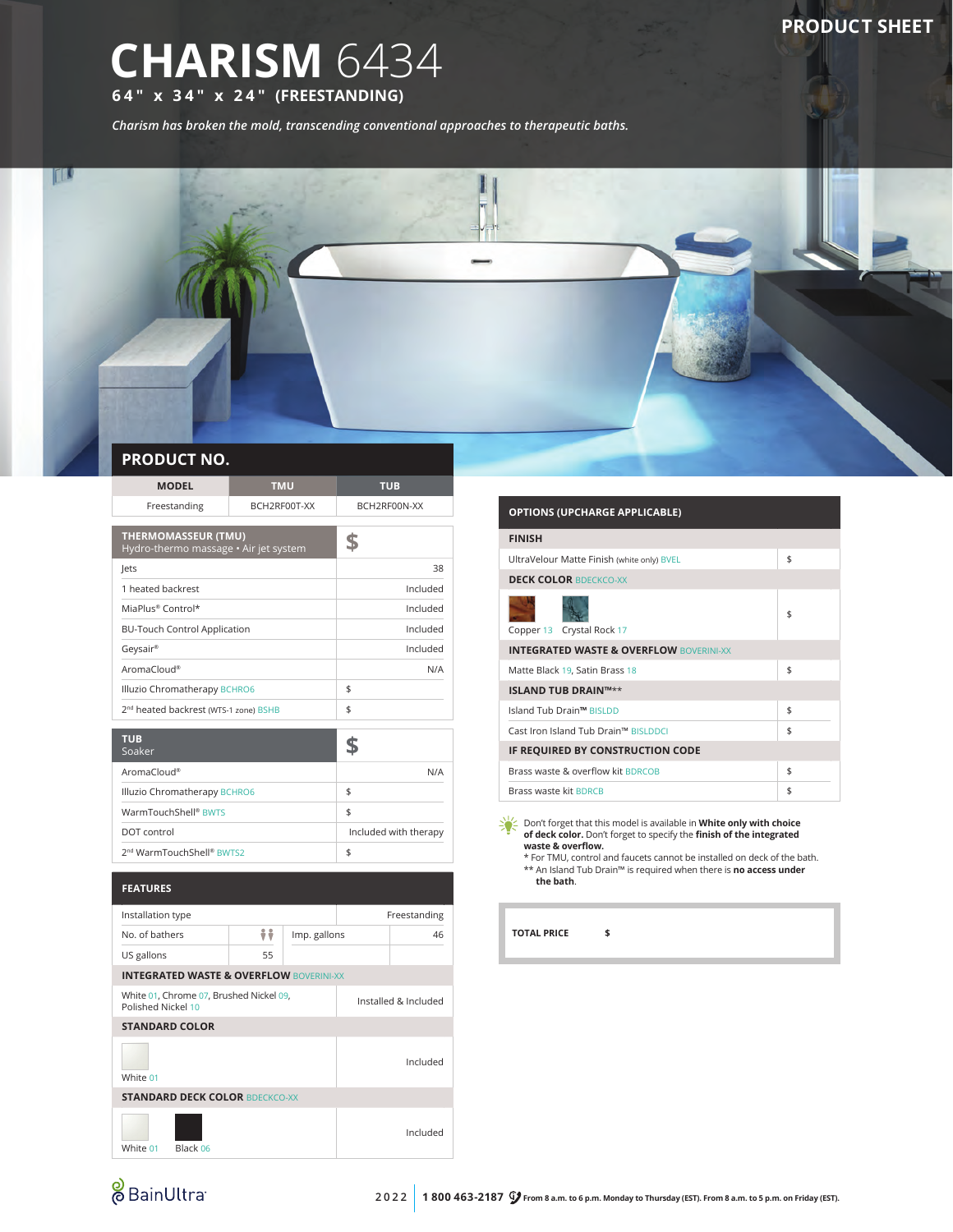## **CHARISM** 6434 **64" x 34" x 24" (FREESTANDING)**

*Charism has broken the mold, transcending conventional approaches to therapeutic baths.*



| <b>MODEL</b>                                                        | <b>TMU</b>   | <b>TUB</b>   |  |
|---------------------------------------------------------------------|--------------|--------------|--|
| Freestanding                                                        | BCH2RF00T-XX | BCH2RF00N-XX |  |
|                                                                     |              |              |  |
| <b>THERMOMASSEUR (TMU)</b><br>Hydro-thermo massage • Air jet system |              |              |  |
| Jets                                                                |              | 38           |  |
| 1 heated backrest                                                   |              | Included     |  |
| MiaPlus® Control*                                                   |              | Included     |  |
| <b>BU-Touch Control Application</b>                                 |              | Included     |  |
| Geysair®                                                            |              | Included     |  |
| AromaCloud®                                                         |              | N/A          |  |
| Illuzio Chromatherapy BCHRO6                                        |              | \$           |  |
| 2 <sup>nd</sup> heated backrest (WTS-1 zone) BSHB                   |              | \$           |  |
|                                                                     |              |              |  |
| <b>TUB</b><br>Soaker                                                |              |              |  |
| AromaCloud®                                                         |              | N/A          |  |
| Illuzio Chromatherapy BCHRO6                                        |              | \$           |  |

| Illuzio Chromatherapy BCHRO6          |                       |
|---------------------------------------|-----------------------|
| WarmTouchShell <sup>®</sup> BWTS      |                       |
| DOT control                           | Included with therapy |
| 2 <sup>nd</sup> WarmTouchShell® BWTS2 |                       |

| <b>FEATURES</b>                                               |                                                    |                      |  |              |
|---------------------------------------------------------------|----------------------------------------------------|----------------------|--|--------------|
| Installation type                                             |                                                    |                      |  | Freestanding |
| No. of bathers                                                | ÷÷                                                 | Imp. gallons         |  | 46           |
| US gallons                                                    | 55                                                 |                      |  |              |
|                                                               | <b>INTEGRATED WASTE &amp; OVERFLOW BOVERINI-XX</b> |                      |  |              |
| White 01, Chrome 07, Brushed Nickel 09,<br>Polished Nickel 10 |                                                    | Installed & Included |  |              |
| <b>STANDARD COLOR</b>                                         |                                                    |                      |  |              |
| White 01                                                      |                                                    |                      |  | Included     |
| <b>STANDARD DECK COLOR BDECKCO-XX</b>                         |                                                    |                      |  |              |
| Black 06<br>White 01                                          |                                                    |                      |  | Included     |

| <b>OPTIONS (UPCHARGE APPLICABLE)</b>               |    |  |
|----------------------------------------------------|----|--|
| <b>FINISH</b>                                      |    |  |
| UltraVelour Matte Finish (white only) BVEL         | \$ |  |
| <b>DECK COLOR BDECKCO-XX</b>                       |    |  |
| Copper 13 Crystal Rock 17                          | \$ |  |
| <b>INTEGRATED WASTE &amp; OVERFLOW BOVERINI-XX</b> |    |  |
| Matte Black 19, Satin Brass 18                     | \$ |  |
| <b>ISLAND TUB DRAIN™**</b>                         |    |  |
| Island Tub Drain™ BISLDD                           | \$ |  |
| Cast Iron Island Tub Drain™ BISLDDCL               | \$ |  |
| IF REQUIRED BY CONSTRUCTION CODE                   |    |  |
| Brass waste & overflow kit BDRCOB                  | \$ |  |
| Brass waste kit BDRCB                              | \$ |  |

Don't forget that this model is available in **White only with choice of deck color.** Don't forget to specify the **finish of the integrated waste & overflow.** \* For TMU, control and faucets cannot be installed on deck of the bath.

\*\* An Island Tub Drain™ is required when there is **no access under the bath**.

**TOTAL PRICE \$**

# & BainUltra